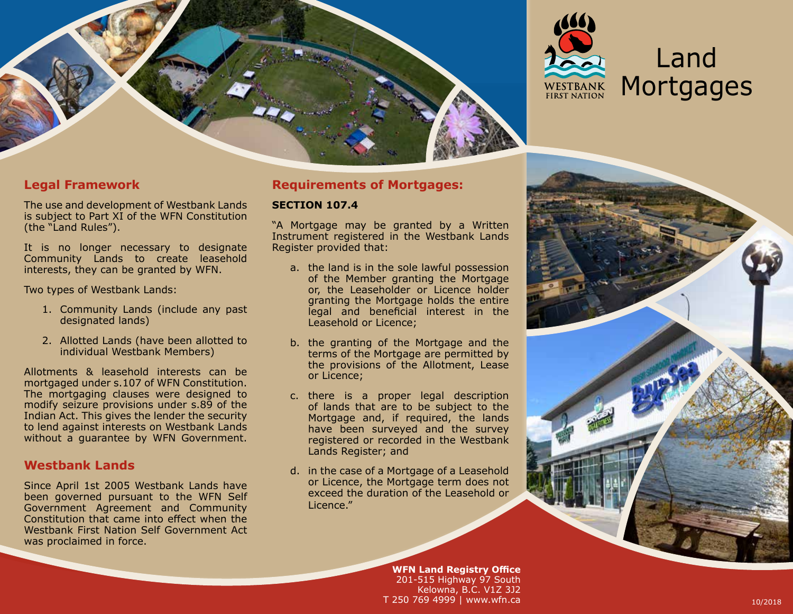



# Land **Mortgages**

# **Legal Framework**

The use and development of Westbank Lands is subject to Part XI of the WFN Constitution (the "Land Rules").

It is no longer necessary to designate Community Lands to create leasehold interests, they can be granted by WFN.

Two types of Westbank Lands:

- 1. Community Lands (include any past designated lands)
- 2. Allotted Lands (have been allotted to individual Westbank Members)

Allotments & leasehold interests can be mortgaged under s.107 of WFN Constitution. The mortgaging clauses were designed to modify seizure provisions under s.89 of the Indian Act. This gives the lender the security to lend against interests on Westbank Lands without a guarantee by WFN Government.

## **Westbank Lands**

Since April 1st 2005 Westbank Lands have been governed pursuant to the WFN Self Government Agreement and Community Constitution that came into effect when the Westbank First Nation Self Government Act was proclaimed in force.

## **Requirements of Mortgages:**

#### **SECTION 107.4**

"A Mortgage may be granted by a Written Instrument registered in the Westbank Lands Register provided that:

- a. the land is in the sole lawful possession of the Member granting the Mortgage or, the Leaseholder or Licence holder granting the Mortgage holds the entire legal and beneficial interest in the Leasehold or Licence;
- b. the granting of the Mortgage and the terms of the Mortgage are permitted by the provisions of the Allotment, Lease or Licence;
- c. there is a proper legal description of lands that are to be subject to the Mortgage and, if required, the lands have been surveyed and the survey registered or recorded in the Westbank Lands Register; and
- d. in the case of a Mortgage of a Leasehold or Licence, the Mortgage term does not exceed the duration of the Leasehold or Licence."

**WFN Land Registry Office** 201-515 Highway 97 South Kelowna, B.C. V1Z 3J2 T 250 769 4999 | www.wfn.ca 10/2018